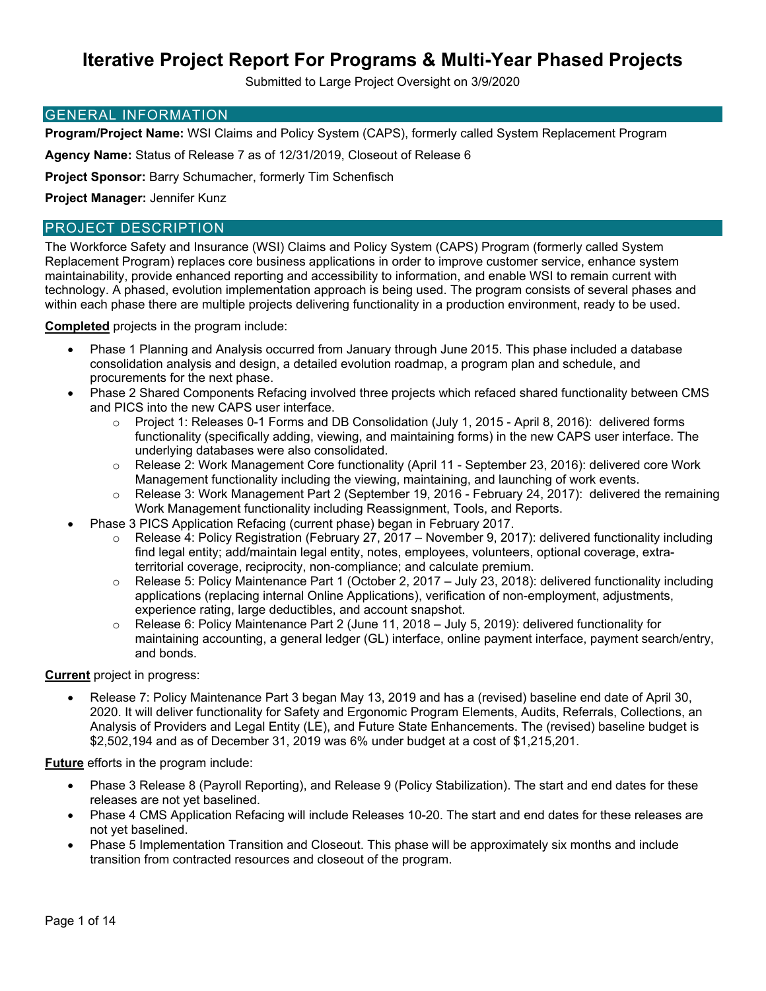Submitted to Large Project Oversight on 3/9/2020

#### GENERAL INFORMATION

**Program/Project Name:** WSI Claims and Policy System (CAPS), formerly called System Replacement Program

**Agency Name:** Status of Release 7 as of 12/31/2019, Closeout of Release 6

**Project Sponsor:** Barry Schumacher, formerly Tim Schenfisch

**Project Manager:** Jennifer Kunz

#### PROJECT DESCRIPTION

The Workforce Safety and Insurance (WSI) Claims and Policy System (CAPS) Program (formerly called System Replacement Program) replaces core business applications in order to improve customer service, enhance system maintainability, provide enhanced reporting and accessibility to information, and enable WSI to remain current with technology. A phased, evolution implementation approach is being used. The program consists of several phases and within each phase there are multiple projects delivering functionality in a production environment, ready to be used.

#### **Completed** projects in the program include:

- Phase 1 Planning and Analysis occurred from January through June 2015. This phase included a database consolidation analysis and design, a detailed evolution roadmap, a program plan and schedule, and procurements for the next phase.
- Phase 2 Shared Components Refacing involved three projects which refaced shared functionality between CMS and PICS into the new CAPS user interface.
	- o Project 1: Releases 0-1 Forms and DB Consolidation (July 1, 2015 April 8, 2016): delivered forms functionality (specifically adding, viewing, and maintaining forms) in the new CAPS user interface. The underlying databases were also consolidated.
	- o Release 2: Work Management Core functionality (April 11 September 23, 2016): delivered core Work Management functionality including the viewing, maintaining, and launching of work events.
	- $\circ$  Release 3: Work Management Part 2 (September 19, 2016 February 24, 2017): delivered the remaining Work Management functionality including Reassignment, Tools, and Reports.
- Phase 3 PICS Application Refacing (current phase) began in February 2017.
	- Release 4: Policy Registration (February 27, 2017 November 9, 2017): delivered functionality including find legal entity; add/maintain legal entity, notes, employees, volunteers, optional coverage, extraterritorial coverage, reciprocity, non-compliance; and calculate premium.
	- o Release 5: Policy Maintenance Part 1 (October 2, 2017 July 23, 2018): delivered functionality including applications (replacing internal Online Applications), verification of non-employment, adjustments, experience rating, large deductibles, and account snapshot.
	- $\circ$  Release 6: Policy Maintenance Part 2 (June 11, 2018 July 5, 2019): delivered functionality for maintaining accounting, a general ledger (GL) interface, online payment interface, payment search/entry, and bonds.

#### **Current** project in progress:

 Release 7: Policy Maintenance Part 3 began May 13, 2019 and has a (revised) baseline end date of April 30, 2020. It will deliver functionality for Safety and Ergonomic Program Elements, Audits, Referrals, Collections, an Analysis of Providers and Legal Entity (LE), and Future State Enhancements. The (revised) baseline budget is \$2,502,194 and as of December 31, 2019 was 6% under budget at a cost of \$1,215,201.

**Future** efforts in the program include:

- Phase 3 Release 8 (Payroll Reporting), and Release 9 (Policy Stabilization). The start and end dates for these releases are not yet baselined.
- Phase 4 CMS Application Refacing will include Releases 10-20. The start and end dates for these releases are not yet baselined.
- Phase 5 Implementation Transition and Closeout. This phase will be approximately six months and include transition from contracted resources and closeout of the program.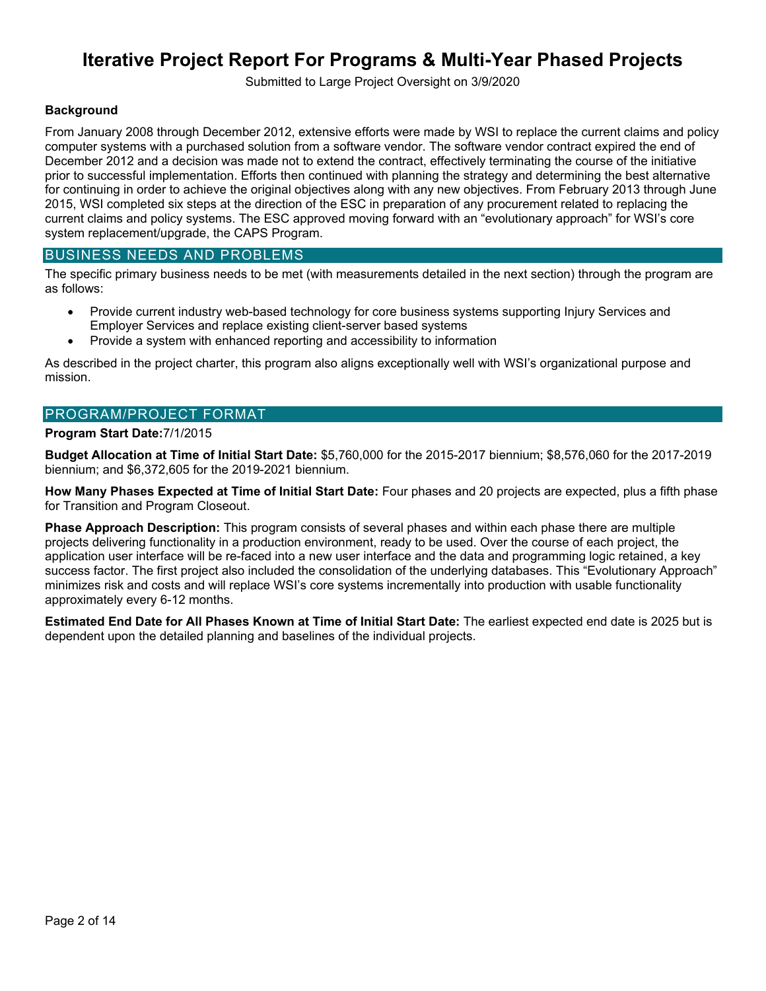Submitted to Large Project Oversight on 3/9/2020

#### **Background**

From January 2008 through December 2012, extensive efforts were made by WSI to replace the current claims and policy computer systems with a purchased solution from a software vendor. The software vendor contract expired the end of December 2012 and a decision was made not to extend the contract, effectively terminating the course of the initiative prior to successful implementation. Efforts then continued with planning the strategy and determining the best alternative for continuing in order to achieve the original objectives along with any new objectives. From February 2013 through June 2015, WSI completed six steps at the direction of the ESC in preparation of any procurement related to replacing the current claims and policy systems. The ESC approved moving forward with an "evolutionary approach" for WSI's core system replacement/upgrade, the CAPS Program.

#### BUSINESS NEEDS AND PROBLEMS

The specific primary business needs to be met (with measurements detailed in the next section) through the program are as follows:

- Provide current industry web-based technology for core business systems supporting Injury Services and Employer Services and replace existing client-server based systems
- Provide a system with enhanced reporting and accessibility to information

As described in the project charter, this program also aligns exceptionally well with WSI's organizational purpose and mission.

#### PROGRAM/PROJECT FORMAT

#### **Program Start Date:**7/1/2015

**Budget Allocation at Time of Initial Start Date:** \$5,760,000 for the 2015-2017 biennium; \$8,576,060 for the 2017-2019 biennium; and \$6,372,605 for the 2019-2021 biennium.

**How Many Phases Expected at Time of Initial Start Date:** Four phases and 20 projects are expected, plus a fifth phase for Transition and Program Closeout.

**Phase Approach Description:** This program consists of several phases and within each phase there are multiple projects delivering functionality in a production environment, ready to be used. Over the course of each project, the application user interface will be re-faced into a new user interface and the data and programming logic retained, a key success factor. The first project also included the consolidation of the underlying databases. This "Evolutionary Approach" minimizes risk and costs and will replace WSI's core systems incrementally into production with usable functionality approximately every 6-12 months.

**Estimated End Date for All Phases Known at Time of Initial Start Date:** The earliest expected end date is 2025 but is dependent upon the detailed planning and baselines of the individual projects.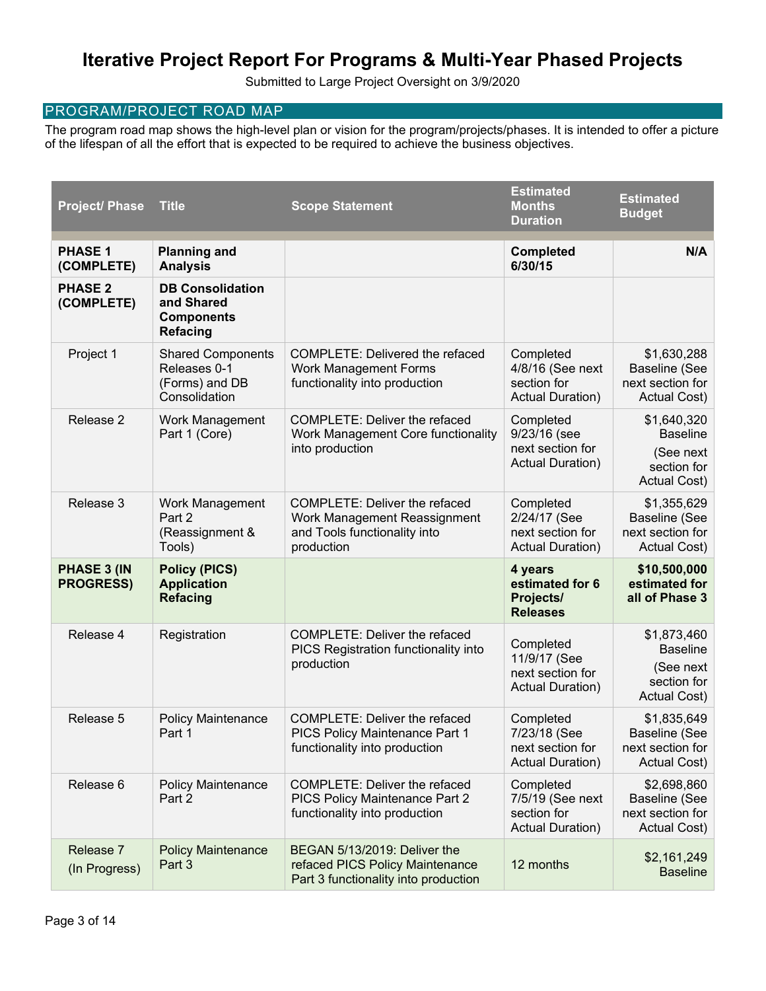Submitted to Large Project Oversight on 3/9/2020

#### PROGRAM/PROJECT ROAD MAP

The program road map shows the high-level plan or vision for the program/projects/phases. It is intended to offer a picture of the lifespan of all the effort that is expected to be required to achieve the business objectives.

| <b>Project/ Phase</b>                  | <b>Title</b>                                                                  | <b>Scope Statement</b>                                                                                             | <b>Estimated</b><br><b>Months</b><br><b>Duration</b>                     | <b>Estimated</b><br><b>Budget</b>                                                 |
|----------------------------------------|-------------------------------------------------------------------------------|--------------------------------------------------------------------------------------------------------------------|--------------------------------------------------------------------------|-----------------------------------------------------------------------------------|
| <b>PHASE 1</b><br>(COMPLETE)           | <b>Planning and</b><br><b>Analysis</b>                                        |                                                                                                                    | <b>Completed</b><br>6/30/15                                              | N/A                                                                               |
| <b>PHASE 2</b><br>(COMPLETE)           | <b>DB Consolidation</b><br>and Shared<br><b>Components</b><br><b>Refacing</b> |                                                                                                                    |                                                                          |                                                                                   |
| Project 1                              | <b>Shared Components</b><br>Releases 0-1<br>(Forms) and DB<br>Consolidation   | <b>COMPLETE: Delivered the refaced</b><br><b>Work Management Forms</b><br>functionality into production            | Completed<br>4/8/16 (See next<br>section for<br><b>Actual Duration)</b>  | \$1,630,288<br><b>Baseline (See</b><br>next section for<br>Actual Cost)           |
| Release 2                              | Work Management<br>Part 1 (Core)                                              | <b>COMPLETE: Deliver the refaced</b><br>Work Management Core functionality<br>into production                      | Completed<br>9/23/16 (see<br>next section for<br><b>Actual Duration)</b> | \$1,640,320<br><b>Baseline</b><br>(See next<br>section for<br>Actual Cost)        |
| Release 3                              | Work Management<br>Part 2<br>(Reassignment &<br>Tools)                        | <b>COMPLETE: Deliver the refaced</b><br>Work Management Reassignment<br>and Tools functionality into<br>production | Completed<br>2/24/17 (See<br>next section for<br><b>Actual Duration)</b> | \$1,355,629<br><b>Baseline (See</b><br>next section for<br><b>Actual Cost)</b>    |
| <b>PHASE 3 (IN</b><br><b>PROGRESS)</b> | <b>Policy (PICS)</b><br><b>Application</b><br><b>Refacing</b>                 |                                                                                                                    | 4 years<br>estimated for 6<br>Projects/<br><b>Releases</b>               | \$10,500,000<br>estimated for<br>all of Phase 3                                   |
| Release 4                              | Registration                                                                  | COMPLETE: Deliver the refaced<br>PICS Registration functionality into<br>production                                | Completed<br>11/9/17 (See<br>next section for<br><b>Actual Duration)</b> | \$1,873,460<br><b>Baseline</b><br>(See next<br>section for<br><b>Actual Cost)</b> |
| Release 5                              | <b>Policy Maintenance</b><br>Part 1                                           | <b>COMPLETE: Deliver the refaced</b><br>PICS Policy Maintenance Part 1<br>functionality into production            | Completed<br>7/23/18 (See<br>next section for<br><b>Actual Duration)</b> | \$1,835,649<br>Baseline (See<br>next section for<br><b>Actual Cost)</b>           |
| Release 6                              | <b>Policy Maintenance</b><br>Part 2                                           | <b>COMPLETE: Deliver the refaced</b><br>PICS Policy Maintenance Part 2<br>functionality into production            | Completed<br>7/5/19 (See next<br>section for<br><b>Actual Duration)</b>  | \$2,698,860<br>Baseline (See<br>next section for<br>Actual Cost)                  |
| Release 7<br>(In Progress)             | <b>Policy Maintenance</b><br>Part 3                                           | BEGAN 5/13/2019: Deliver the<br>refaced PICS Policy Maintenance<br>Part 3 functionality into production            | 12 months                                                                | \$2,161,249<br><b>Baseline</b>                                                    |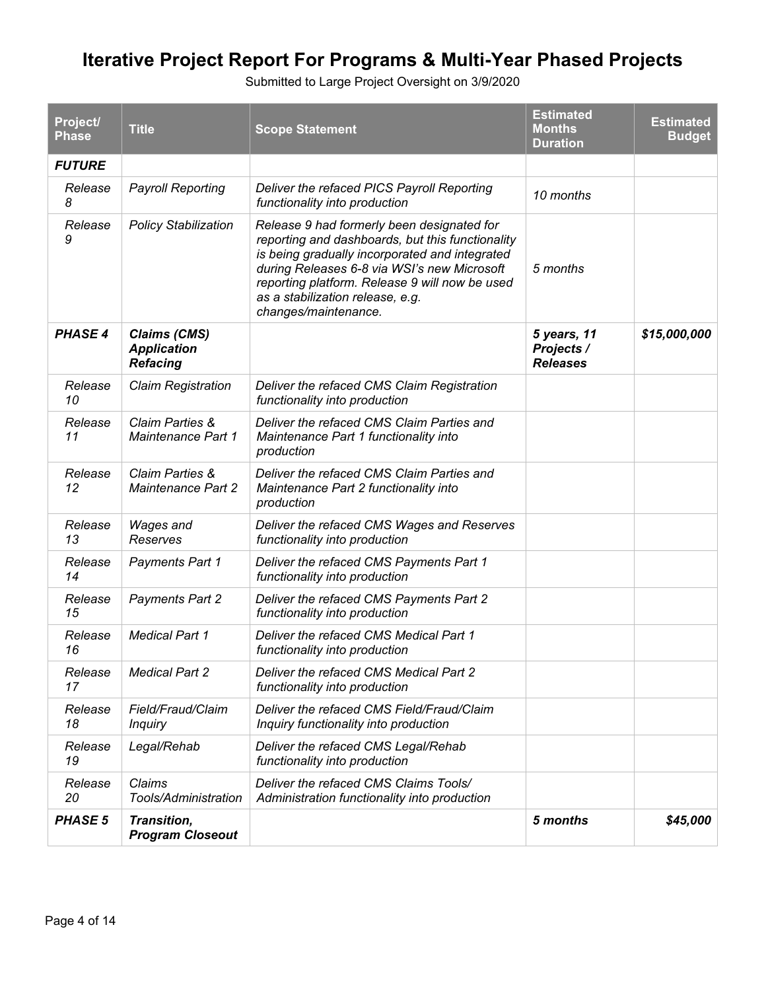| Project/<br><b>Phase</b> | <b>Title</b>                                                 | <b>Scope Statement</b>                                                                                                                                                                                                                                                                                        | <b>Estimated</b><br><b>Months</b><br><b>Duration</b> | <b>Estimated</b><br><b>Budget</b> |
|--------------------------|--------------------------------------------------------------|---------------------------------------------------------------------------------------------------------------------------------------------------------------------------------------------------------------------------------------------------------------------------------------------------------------|------------------------------------------------------|-----------------------------------|
| <b>FUTURE</b>            |                                                              |                                                                                                                                                                                                                                                                                                               |                                                      |                                   |
| Release<br>8             | <b>Payroll Reporting</b>                                     | Deliver the refaced PICS Payroll Reporting<br>functionality into production                                                                                                                                                                                                                                   | 10 months                                            |                                   |
| Release<br>9             | <b>Policy Stabilization</b>                                  | Release 9 had formerly been designated for<br>reporting and dashboards, but this functionality<br>is being gradually incorporated and integrated<br>during Releases 6-8 via WSI's new Microsoft<br>reporting platform. Release 9 will now be used<br>as a stabilization release, e.g.<br>changes/maintenance. | 5 months                                             |                                   |
| <b>PHASE 4</b>           | <b>Claims (CMS)</b><br><b>Application</b><br><b>Refacing</b> |                                                                                                                                                                                                                                                                                                               | 5 years, 11<br>Projects /<br><b>Releases</b>         | \$15,000,000                      |
| Release<br>10            | <b>Claim Registration</b>                                    | Deliver the refaced CMS Claim Registration<br>functionality into production                                                                                                                                                                                                                                   |                                                      |                                   |
| Release<br>11            | Claim Parties &<br>Maintenance Part 1                        | Deliver the refaced CMS Claim Parties and<br>Maintenance Part 1 functionality into<br>production                                                                                                                                                                                                              |                                                      |                                   |
| Release<br>12            | Claim Parties &<br><b>Maintenance Part 2</b>                 | Deliver the refaced CMS Claim Parties and<br>Maintenance Part 2 functionality into<br>production                                                                                                                                                                                                              |                                                      |                                   |
| Release<br>13            | Wages and<br>Reserves                                        | Deliver the refaced CMS Wages and Reserves<br>functionality into production                                                                                                                                                                                                                                   |                                                      |                                   |
| Release<br>14            | <b>Payments Part 1</b>                                       | Deliver the refaced CMS Payments Part 1<br>functionality into production                                                                                                                                                                                                                                      |                                                      |                                   |
| Release<br>15            | <b>Payments Part 2</b>                                       | Deliver the refaced CMS Payments Part 2<br>functionality into production                                                                                                                                                                                                                                      |                                                      |                                   |
| Release<br>16            | <b>Medical Part 1</b>                                        | Deliver the refaced CMS Medical Part 1<br>functionality into production                                                                                                                                                                                                                                       |                                                      |                                   |
| Release<br>17            | <b>Medical Part 2</b>                                        | Deliver the refaced CMS Medical Part 2<br>functionality into production                                                                                                                                                                                                                                       |                                                      |                                   |
| Release<br>18            | Field/Fraud/Claim<br><b>Inquiry</b>                          | Deliver the refaced CMS Field/Fraud/Claim<br>Inquiry functionality into production                                                                                                                                                                                                                            |                                                      |                                   |
| Release<br>19            | Legal/Rehab                                                  | Deliver the refaced CMS Legal/Rehab<br>functionality into production                                                                                                                                                                                                                                          |                                                      |                                   |
| Release<br>20            | Claims<br>Tools/Administration                               | Deliver the refaced CMS Claims Tools/<br>Administration functionality into production                                                                                                                                                                                                                         |                                                      |                                   |
| <b>PHASE 5</b>           | Transition,<br><b>Program Closeout</b>                       |                                                                                                                                                                                                                                                                                                               | 5 months                                             | \$45,000                          |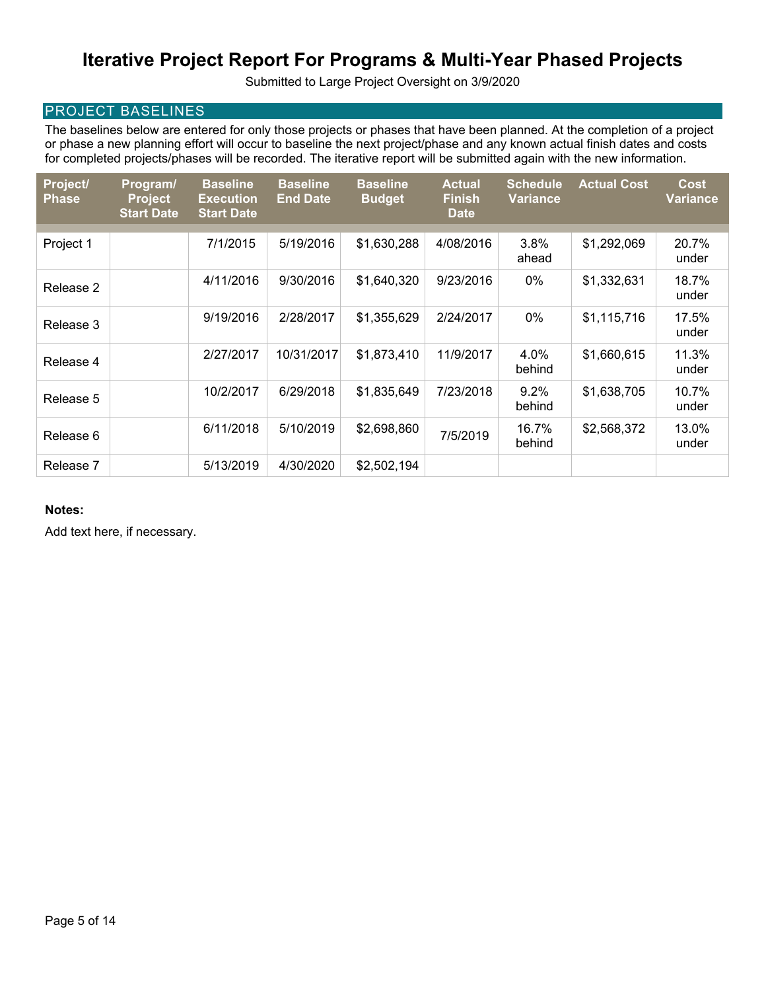Submitted to Large Project Oversight on 3/9/2020

### PROJECT BASELINES

The baselines below are entered for only those projects or phases that have been planned. At the completion of a project or phase a new planning effort will occur to baseline the next project/phase and any known actual finish dates and costs for completed projects/phases will be recorded. The iterative report will be submitted again with the new information.

| Project/<br><b>Phase</b> | Program/<br><b>Project</b><br><b>Start Date</b> | <b>Baseline</b><br><b>Execution</b><br><b>Start Date</b> | <b>Baseline</b><br><b>End Date</b> | <b>Baseline</b><br><b>Budget</b> | <b>Actual</b><br><b>Finish</b><br><b>Date</b> | <b>Schedule</b><br><b>Variance</b> | <b>Actual Cost</b> | <b>Cost</b><br><b>Variance</b> |
|--------------------------|-------------------------------------------------|----------------------------------------------------------|------------------------------------|----------------------------------|-----------------------------------------------|------------------------------------|--------------------|--------------------------------|
|                          |                                                 |                                                          |                                    |                                  |                                               |                                    |                    |                                |
| Project 1                |                                                 | 7/1/2015                                                 | 5/19/2016                          | \$1,630,288                      | 4/08/2016                                     | 3.8%<br>ahead                      | \$1,292,069        | 20.7%<br>under                 |
| Release 2                |                                                 | 4/11/2016                                                | 9/30/2016                          | \$1,640,320                      | 9/23/2016                                     | 0%                                 | \$1,332,631        | 18.7%<br>under                 |
| Release 3                |                                                 | 9/19/2016                                                | 2/28/2017                          | \$1,355,629                      | 2/24/2017                                     | 0%                                 | \$1,115,716        | 17.5%<br>under                 |
| Release 4                |                                                 | 2/27/2017                                                | 10/31/2017                         | \$1,873,410                      | 11/9/2017                                     | 4.0%<br>behind                     | \$1,660,615        | 11.3%<br>under                 |
| Release 5                |                                                 | 10/2/2017                                                | 6/29/2018                          | \$1,835,649                      | 7/23/2018                                     | $9.2\%$<br>behind                  | \$1,638,705        | 10.7%<br>under                 |
| Release 6                |                                                 | 6/11/2018                                                | 5/10/2019                          | \$2,698,860                      | 7/5/2019                                      | 16.7%<br>behind                    | \$2,568,372        | 13.0%<br>under                 |
| Release 7                |                                                 | 5/13/2019                                                | 4/30/2020                          | \$2,502,194                      |                                               |                                    |                    |                                |

#### **Notes:**

Add text here, if necessary.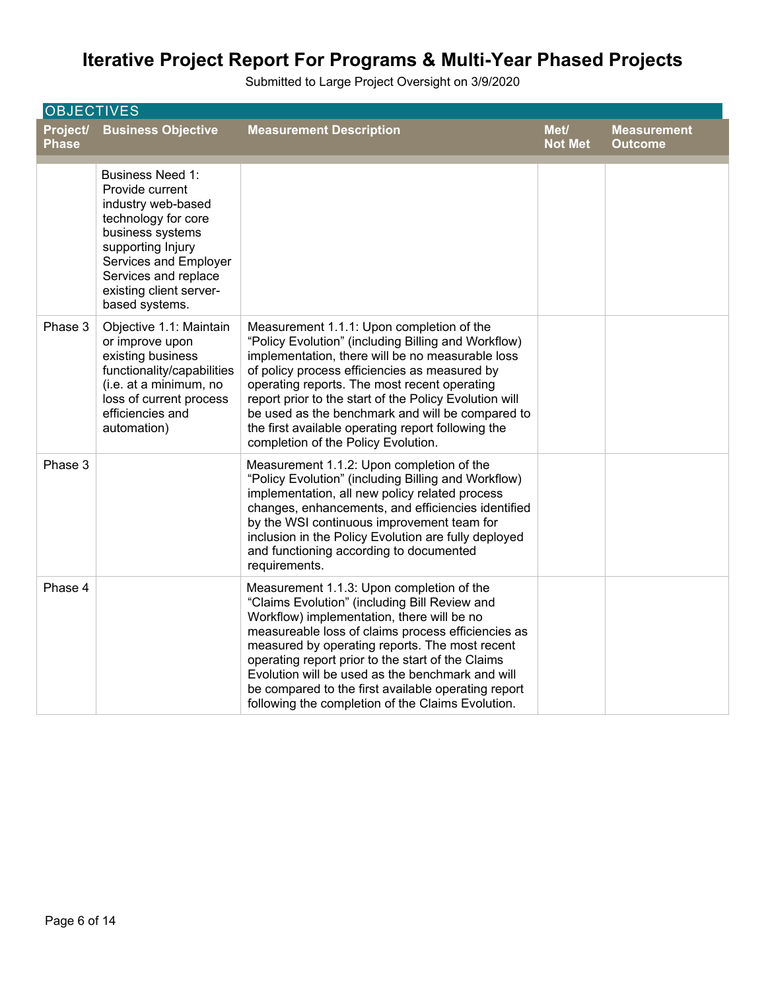| <b>OBJECTIVES</b>        |                                                                                                                                                                                                                                |                                                                                                                                                                                                                                                                                                                                                                                                                                                                       |                        |                                      |
|--------------------------|--------------------------------------------------------------------------------------------------------------------------------------------------------------------------------------------------------------------------------|-----------------------------------------------------------------------------------------------------------------------------------------------------------------------------------------------------------------------------------------------------------------------------------------------------------------------------------------------------------------------------------------------------------------------------------------------------------------------|------------------------|--------------------------------------|
| Project/<br><b>Phase</b> | <b>Business Objective</b>                                                                                                                                                                                                      | <b>Measurement Description</b>                                                                                                                                                                                                                                                                                                                                                                                                                                        | Met/<br><b>Not Met</b> | <b>Measurement</b><br><b>Outcome</b> |
|                          | <b>Business Need 1:</b><br>Provide current<br>industry web-based<br>technology for core<br>business systems<br>supporting Injury<br>Services and Employer<br>Services and replace<br>existing client server-<br>based systems. |                                                                                                                                                                                                                                                                                                                                                                                                                                                                       |                        |                                      |
| Phase 3                  | Objective 1.1: Maintain<br>or improve upon<br>existing business<br>functionality/capabilities<br>(i.e. at a minimum, no<br>loss of current process<br>efficiencies and<br>automation)                                          | Measurement 1.1.1: Upon completion of the<br>"Policy Evolution" (including Billing and Workflow)<br>implementation, there will be no measurable loss<br>of policy process efficiencies as measured by<br>operating reports. The most recent operating<br>report prior to the start of the Policy Evolution will<br>be used as the benchmark and will be compared to<br>the first available operating report following the<br>completion of the Policy Evolution.      |                        |                                      |
| Phase 3                  |                                                                                                                                                                                                                                | Measurement 1.1.2: Upon completion of the<br>"Policy Evolution" (including Billing and Workflow)<br>implementation, all new policy related process<br>changes, enhancements, and efficiencies identified<br>by the WSI continuous improvement team for<br>inclusion in the Policy Evolution are fully deployed<br>and functioning according to documented<br>requirements.                                                                                            |                        |                                      |
| Phase 4                  |                                                                                                                                                                                                                                | Measurement 1.1.3: Upon completion of the<br>"Claims Evolution" (including Bill Review and<br>Workflow) implementation, there will be no<br>measureable loss of claims process efficiencies as<br>measured by operating reports. The most recent<br>operating report prior to the start of the Claims<br>Evolution will be used as the benchmark and will<br>be compared to the first available operating report<br>following the completion of the Claims Evolution. |                        |                                      |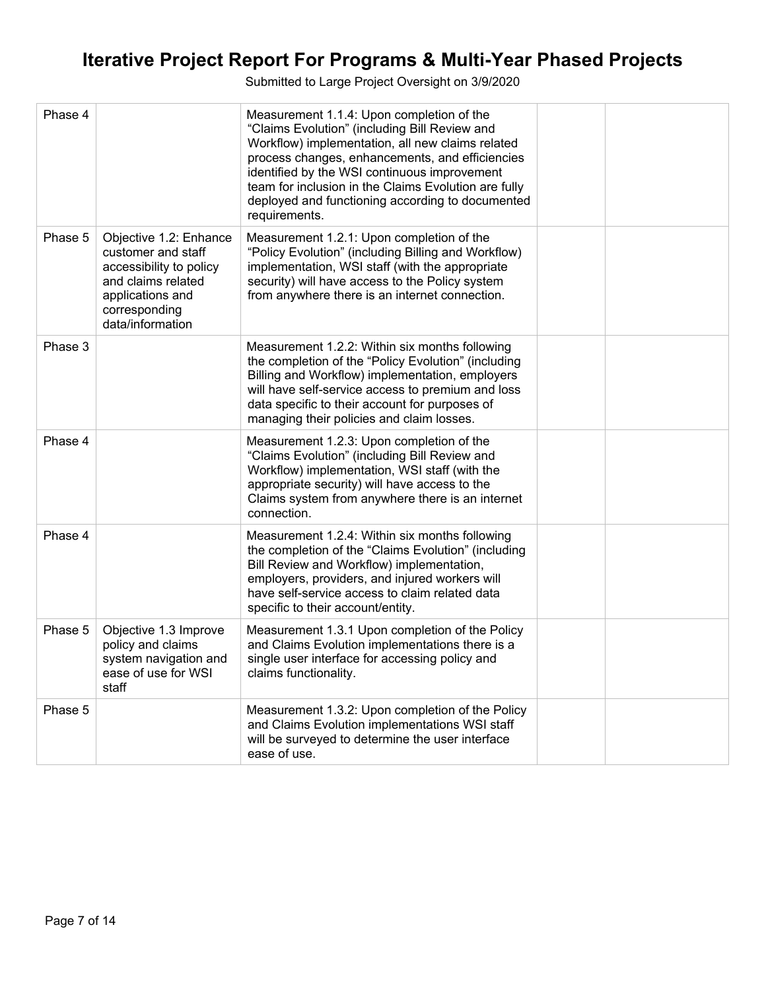| Phase 4 |                                                                                                                                                        | Measurement 1.1.4: Upon completion of the<br>"Claims Evolution" (including Bill Review and<br>Workflow) implementation, all new claims related<br>process changes, enhancements, and efficiencies<br>identified by the WSI continuous improvement<br>team for inclusion in the Claims Evolution are fully<br>deployed and functioning according to documented<br>requirements. |  |
|---------|--------------------------------------------------------------------------------------------------------------------------------------------------------|--------------------------------------------------------------------------------------------------------------------------------------------------------------------------------------------------------------------------------------------------------------------------------------------------------------------------------------------------------------------------------|--|
| Phase 5 | Objective 1.2: Enhance<br>customer and staff<br>accessibility to policy<br>and claims related<br>applications and<br>corresponding<br>data/information | Measurement 1.2.1: Upon completion of the<br>"Policy Evolution" (including Billing and Workflow)<br>implementation, WSI staff (with the appropriate<br>security) will have access to the Policy system<br>from anywhere there is an internet connection.                                                                                                                       |  |
| Phase 3 |                                                                                                                                                        | Measurement 1.2.2: Within six months following<br>the completion of the "Policy Evolution" (including<br>Billing and Workflow) implementation, employers<br>will have self-service access to premium and loss<br>data specific to their account for purposes of<br>managing their policies and claim losses.                                                                   |  |
| Phase 4 |                                                                                                                                                        | Measurement 1.2.3: Upon completion of the<br>"Claims Evolution" (including Bill Review and<br>Workflow) implementation, WSI staff (with the<br>appropriate security) will have access to the<br>Claims system from anywhere there is an internet<br>connection.                                                                                                                |  |
| Phase 4 |                                                                                                                                                        | Measurement 1.2.4: Within six months following<br>the completion of the "Claims Evolution" (including<br>Bill Review and Workflow) implementation,<br>employers, providers, and injured workers will<br>have self-service access to claim related data<br>specific to their account/entity.                                                                                    |  |
| Phase 5 | Objective 1.3 Improve<br>policy and claims<br>system navigation and<br>ease of use for WSI<br>staff                                                    | Measurement 1.3.1 Upon completion of the Policy<br>and Claims Evolution implementations there is a<br>single user interface for accessing policy and<br>claims functionality.                                                                                                                                                                                                  |  |
| Phase 5 |                                                                                                                                                        | Measurement 1.3.2: Upon completion of the Policy<br>and Claims Evolution implementations WSI staff<br>will be surveyed to determine the user interface<br>ease of use.                                                                                                                                                                                                         |  |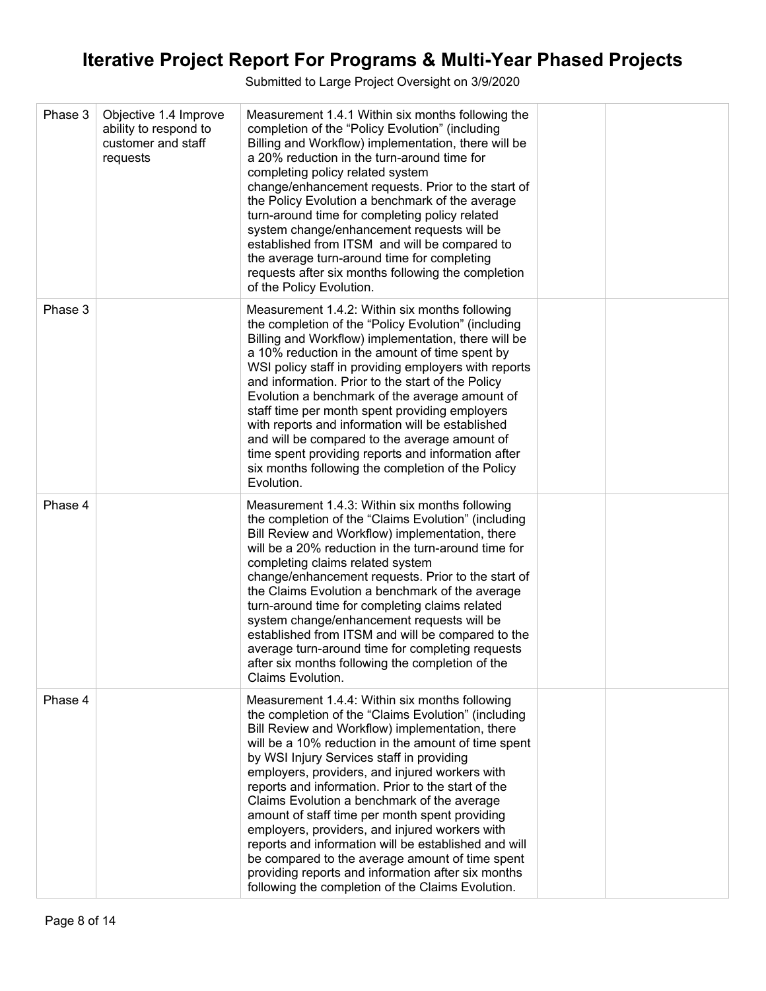| Phase 3 | Objective 1.4 Improve<br>ability to respond to<br>customer and staff<br>requests | Measurement 1.4.1 Within six months following the<br>completion of the "Policy Evolution" (including<br>Billing and Workflow) implementation, there will be<br>a 20% reduction in the turn-around time for<br>completing policy related system<br>change/enhancement requests. Prior to the start of<br>the Policy Evolution a benchmark of the average<br>turn-around time for completing policy related<br>system change/enhancement requests will be<br>established from ITSM and will be compared to<br>the average turn-around time for completing<br>requests after six months following the completion<br>of the Policy Evolution.                                                                                                     |  |
|---------|----------------------------------------------------------------------------------|-----------------------------------------------------------------------------------------------------------------------------------------------------------------------------------------------------------------------------------------------------------------------------------------------------------------------------------------------------------------------------------------------------------------------------------------------------------------------------------------------------------------------------------------------------------------------------------------------------------------------------------------------------------------------------------------------------------------------------------------------|--|
| Phase 3 |                                                                                  | Measurement 1.4.2: Within six months following<br>the completion of the "Policy Evolution" (including<br>Billing and Workflow) implementation, there will be<br>a 10% reduction in the amount of time spent by<br>WSI policy staff in providing employers with reports<br>and information. Prior to the start of the Policy<br>Evolution a benchmark of the average amount of<br>staff time per month spent providing employers<br>with reports and information will be established<br>and will be compared to the average amount of<br>time spent providing reports and information after<br>six months following the completion of the Policy<br>Evolution.                                                                                 |  |
| Phase 4 |                                                                                  | Measurement 1.4.3: Within six months following<br>the completion of the "Claims Evolution" (including<br>Bill Review and Workflow) implementation, there<br>will be a 20% reduction in the turn-around time for<br>completing claims related system<br>change/enhancement requests. Prior to the start of<br>the Claims Evolution a benchmark of the average<br>turn-around time for completing claims related<br>system change/enhancement requests will be<br>established from ITSM and will be compared to the<br>average turn-around time for completing requests<br>after six months following the completion of the<br><b>Claims Evolution.</b>                                                                                         |  |
| Phase 4 |                                                                                  | Measurement 1.4.4: Within six months following<br>the completion of the "Claims Evolution" (including<br>Bill Review and Workflow) implementation, there<br>will be a 10% reduction in the amount of time spent<br>by WSI Injury Services staff in providing<br>employers, providers, and injured workers with<br>reports and information. Prior to the start of the<br>Claims Evolution a benchmark of the average<br>amount of staff time per month spent providing<br>employers, providers, and injured workers with<br>reports and information will be established and will<br>be compared to the average amount of time spent<br>providing reports and information after six months<br>following the completion of the Claims Evolution. |  |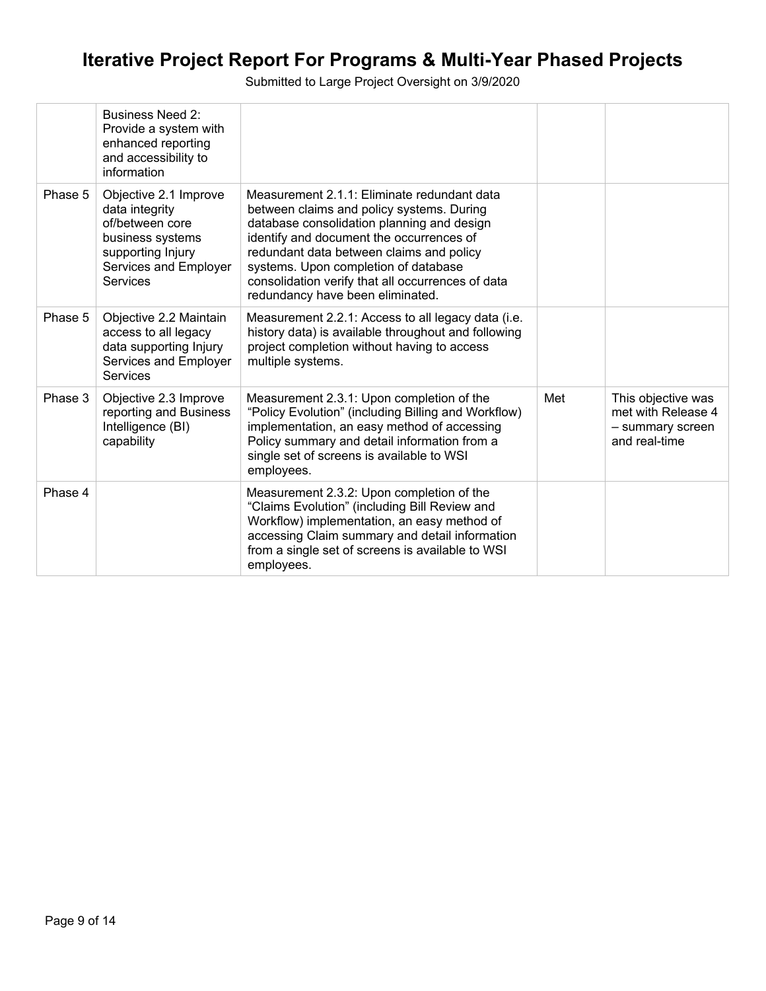|         | <b>Business Need 2:</b><br>Provide a system with<br>enhanced reporting<br>and accessibility to<br>information                            |                                                                                                                                                                                                                                                                                                                                                                 |     |                                                                               |
|---------|------------------------------------------------------------------------------------------------------------------------------------------|-----------------------------------------------------------------------------------------------------------------------------------------------------------------------------------------------------------------------------------------------------------------------------------------------------------------------------------------------------------------|-----|-------------------------------------------------------------------------------|
| Phase 5 | Objective 2.1 Improve<br>data integrity<br>of/between core<br>business systems<br>supporting Injury<br>Services and Employer<br>Services | Measurement 2.1.1: Eliminate redundant data<br>between claims and policy systems. During<br>database consolidation planning and design<br>identify and document the occurrences of<br>redundant data between claims and policy<br>systems. Upon completion of database<br>consolidation verify that all occurrences of data<br>redundancy have been eliminated. |     |                                                                               |
| Phase 5 | Objective 2.2 Maintain<br>access to all legacy<br>data supporting Injury<br>Services and Employer<br><b>Services</b>                     | Measurement 2.2.1: Access to all legacy data (i.e.<br>history data) is available throughout and following<br>project completion without having to access<br>multiple systems.                                                                                                                                                                                   |     |                                                                               |
| Phase 3 | Objective 2.3 Improve<br>reporting and Business<br>Intelligence (BI)<br>capability                                                       | Measurement 2.3.1: Upon completion of the<br>"Policy Evolution" (including Billing and Workflow)<br>implementation, an easy method of accessing<br>Policy summary and detail information from a<br>single set of screens is available to WSI<br>employees.                                                                                                      | Met | This objective was<br>met with Release 4<br>- summary screen<br>and real-time |
| Phase 4 |                                                                                                                                          | Measurement 2.3.2: Upon completion of the<br>"Claims Evolution" (including Bill Review and<br>Workflow) implementation, an easy method of<br>accessing Claim summary and detail information<br>from a single set of screens is available to WSI<br>employees.                                                                                                   |     |                                                                               |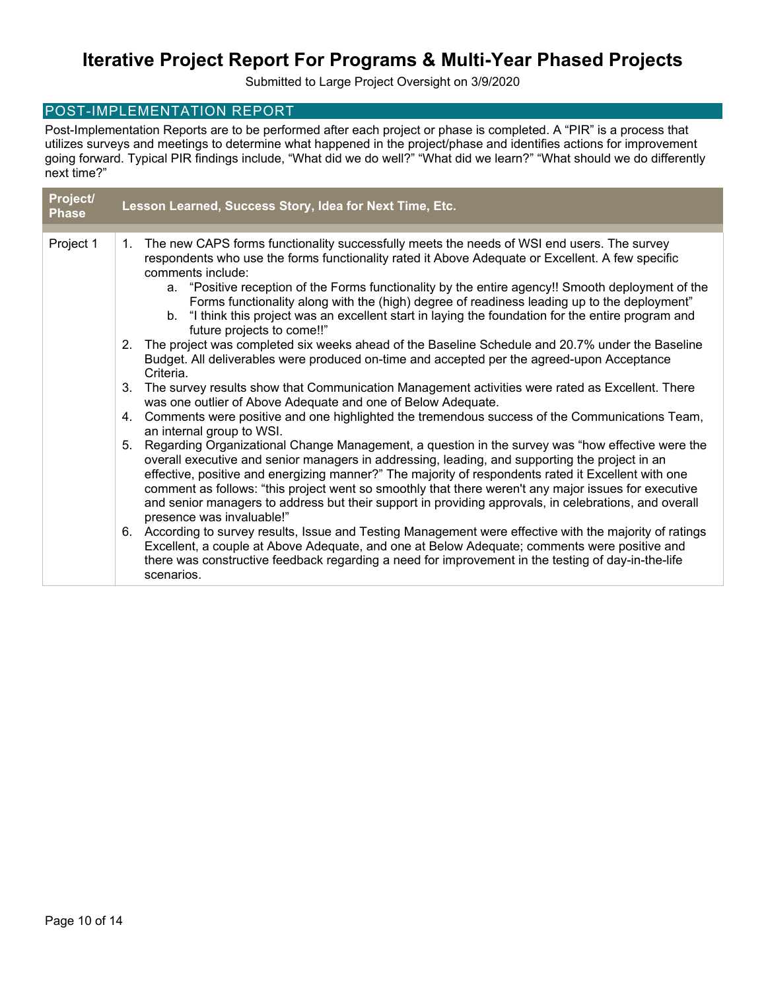Submitted to Large Project Oversight on 3/9/2020

#### POST-IMPLEMENTATION REPORT

Post-Implementation Reports are to be performed after each project or phase is completed. A "PIR" is a process that utilizes surveys and meetings to determine what happened in the project/phase and identifies actions for improvement going forward. Typical PIR findings include, "What did we do well?" "What did we learn?" "What should we do differently next time?"

| Project/<br><b>Phase</b> |         | Lesson Learned, Success Story, Idea for Next Time, Etc.                                                                                                                                                                                                                                                                                                                                                                                                                                                                                                    |
|--------------------------|---------|------------------------------------------------------------------------------------------------------------------------------------------------------------------------------------------------------------------------------------------------------------------------------------------------------------------------------------------------------------------------------------------------------------------------------------------------------------------------------------------------------------------------------------------------------------|
|                          |         |                                                                                                                                                                                                                                                                                                                                                                                                                                                                                                                                                            |
| Project 1                | $1_{-}$ | The new CAPS forms functionality successfully meets the needs of WSI end users. The survey<br>respondents who use the forms functionality rated it Above Adequate or Excellent. A few specific<br>comments include:                                                                                                                                                                                                                                                                                                                                        |
|                          |         | "Positive reception of the Forms functionality by the entire agency!! Smooth deployment of the<br>a.<br>Forms functionality along with the (high) degree of readiness leading up to the deployment"<br>b. "I think this project was an excellent start in laying the foundation for the entire program and                                                                                                                                                                                                                                                 |
|                          |         | future projects to come!!"                                                                                                                                                                                                                                                                                                                                                                                                                                                                                                                                 |
|                          |         | 2. The project was completed six weeks ahead of the Baseline Schedule and 20.7% under the Baseline<br>Budget. All deliverables were produced on-time and accepted per the agreed-upon Acceptance<br>Criteria.                                                                                                                                                                                                                                                                                                                                              |
|                          |         | 3. The survey results show that Communication Management activities were rated as Excellent. There<br>was one outlier of Above Adequate and one of Below Adequate.                                                                                                                                                                                                                                                                                                                                                                                         |
|                          |         | 4. Comments were positive and one highlighted the tremendous success of the Communications Team,<br>an internal group to WSI.                                                                                                                                                                                                                                                                                                                                                                                                                              |
|                          |         | 5. Regarding Organizational Change Management, a question in the survey was "how effective were the<br>overall executive and senior managers in addressing, leading, and supporting the project in an<br>effective, positive and energizing manner?" The majority of respondents rated it Excellent with one<br>comment as follows: "this project went so smoothly that there weren't any major issues for executive<br>and senior managers to address but their support in providing approvals, in celebrations, and overall<br>presence was invaluable!" |
|                          |         | 6. According to survey results, Issue and Testing Management were effective with the majority of ratings<br>Excellent, a couple at Above Adequate, and one at Below Adequate; comments were positive and<br>there was constructive feedback regarding a need for improvement in the testing of day-in-the-life<br>scenarios.                                                                                                                                                                                                                               |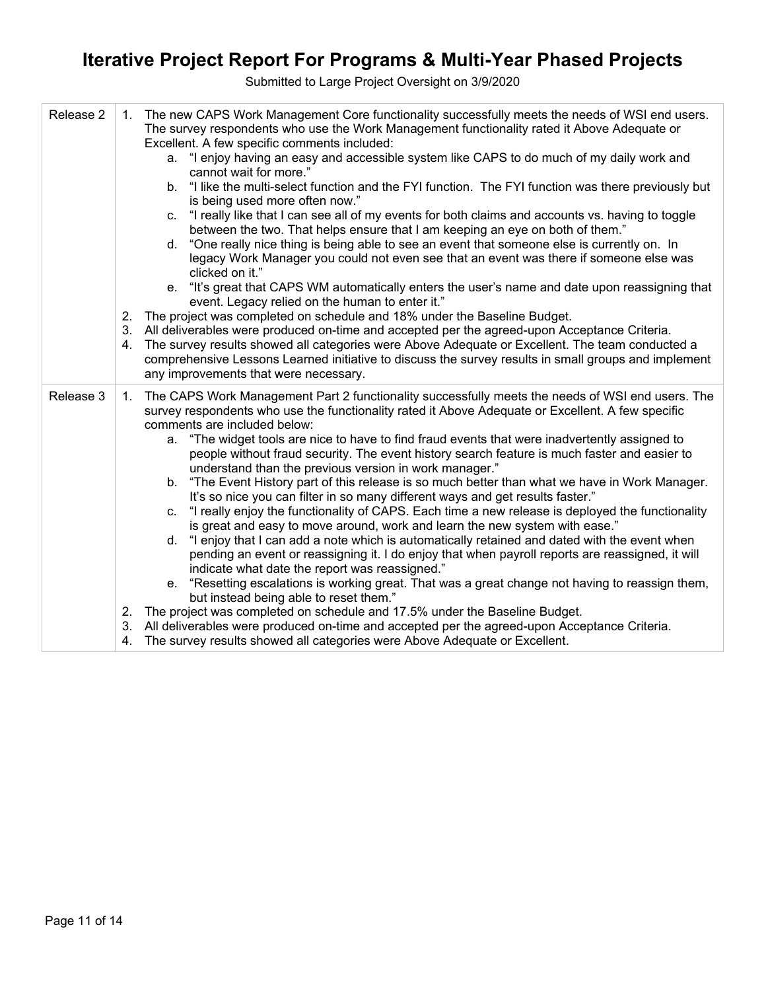| Release 2 | The new CAPS Work Management Core functionality successfully meets the needs of WSI end users.<br>1.<br>The survey respondents who use the Work Management functionality rated it Above Adequate or<br>Excellent. A few specific comments included:<br>a. "I enjoy having an easy and accessible system like CAPS to do much of my daily work and<br>cannot wait for more."<br>"I like the multi-select function and the FYI function. The FYI function was there previously but<br>b.<br>is being used more often now."<br>"I really like that I can see all of my events for both claims and accounts vs. having to toggle<br>C.<br>between the two. That helps ensure that I am keeping an eye on both of them."<br>"One really nice thing is being able to see an event that someone else is currently on. In<br>d.<br>legacy Work Manager you could not even see that an event was there if someone else was<br>clicked on it."<br>"It's great that CAPS WM automatically enters the user's name and date upon reassigning that<br>e.<br>event. Legacy relied on the human to enter it."<br>2. The project was completed on schedule and 18% under the Baseline Budget.<br>3. All deliverables were produced on-time and accepted per the agreed-upon Acceptance Criteria.<br>The survey results showed all categories were Above Adequate or Excellent. The team conducted a<br>4.<br>comprehensive Lessons Learned initiative to discuss the survey results in small groups and implement<br>any improvements that were necessary.                      |  |
|-----------|----------------------------------------------------------------------------------------------------------------------------------------------------------------------------------------------------------------------------------------------------------------------------------------------------------------------------------------------------------------------------------------------------------------------------------------------------------------------------------------------------------------------------------------------------------------------------------------------------------------------------------------------------------------------------------------------------------------------------------------------------------------------------------------------------------------------------------------------------------------------------------------------------------------------------------------------------------------------------------------------------------------------------------------------------------------------------------------------------------------------------------------------------------------------------------------------------------------------------------------------------------------------------------------------------------------------------------------------------------------------------------------------------------------------------------------------------------------------------------------------------------------------------------------------------------------|--|
| Release 3 | 1. The CAPS Work Management Part 2 functionality successfully meets the needs of WSI end users. The<br>survey respondents who use the functionality rated it Above Adequate or Excellent. A few specific<br>comments are included below:<br>a. "The widget tools are nice to have to find fraud events that were inadvertently assigned to<br>people without fraud security. The event history search feature is much faster and easier to<br>understand than the previous version in work manager."<br>b. "The Event History part of this release is so much better than what we have in Work Manager.<br>It's so nice you can filter in so many different ways and get results faster."<br>c. "I really enjoy the functionality of CAPS. Each time a new release is deployed the functionality<br>is great and easy to move around, work and learn the new system with ease."<br>d. "I enjoy that I can add a note which is automatically retained and dated with the event when<br>pending an event or reassigning it. I do enjoy that when payroll reports are reassigned, it will<br>indicate what date the report was reassigned."<br>e. "Resetting escalations is working great. That was a great change not having to reassign them,<br>but instead being able to reset them."<br>2. The project was completed on schedule and 17.5% under the Baseline Budget.<br>3. All deliverables were produced on-time and accepted per the agreed-upon Acceptance Criteria.<br>The survey results showed all categories were Above Adequate or Excellent.<br>4. |  |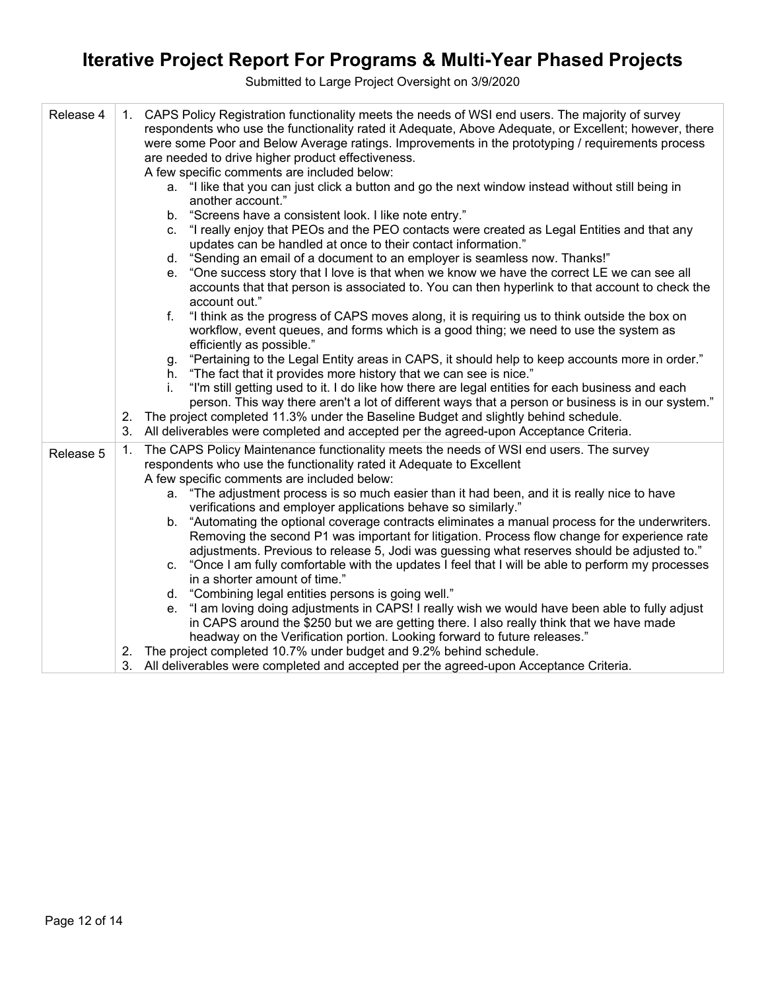| Release 4 | 1. CAPS Policy Registration functionality meets the needs of WSI end users. The majority of survey<br>respondents who use the functionality rated it Adequate, Above Adequate, or Excellent; however, there<br>were some Poor and Below Average ratings. Improvements in the prototyping / requirements process<br>are needed to drive higher product effectiveness.<br>A few specific comments are included below:<br>a. "I like that you can just click a button and go the next window instead without still being in<br>another account."<br>"Screens have a consistent look. I like note entry."<br>b.<br>"I really enjoy that PEOs and the PEO contacts were created as Legal Entities and that any<br>C.<br>updates can be handled at once to their contact information."<br>"Sending an email of a document to an employer is seamless now. Thanks!"<br>d.<br>"One success story that I love is that when we know we have the correct LE we can see all<br>е.<br>accounts that that person is associated to. You can then hyperlink to that account to check the<br>account out."<br>"I think as the progress of CAPS moves along, it is requiring us to think outside the box on<br>f.<br>workflow, event queues, and forms which is a good thing; we need to use the system as<br>efficiently as possible."<br>"Pertaining to the Legal Entity areas in CAPS, it should help to keep accounts more in order."<br>g.<br>"The fact that it provides more history that we can see is nice."<br>h.<br>"I'm still getting used to it. I do like how there are legal entities for each business and each<br>İ.<br>person. This way there aren't a lot of different ways that a person or business is in our system."<br>The project completed 11.3% under the Baseline Budget and slightly behind schedule.<br>2.<br>All deliverables were completed and accepted per the agreed-upon Acceptance Criteria.<br>3. |  |
|-----------|----------------------------------------------------------------------------------------------------------------------------------------------------------------------------------------------------------------------------------------------------------------------------------------------------------------------------------------------------------------------------------------------------------------------------------------------------------------------------------------------------------------------------------------------------------------------------------------------------------------------------------------------------------------------------------------------------------------------------------------------------------------------------------------------------------------------------------------------------------------------------------------------------------------------------------------------------------------------------------------------------------------------------------------------------------------------------------------------------------------------------------------------------------------------------------------------------------------------------------------------------------------------------------------------------------------------------------------------------------------------------------------------------------------------------------------------------------------------------------------------------------------------------------------------------------------------------------------------------------------------------------------------------------------------------------------------------------------------------------------------------------------------------------------------------------------------------------------------------------------------------------------------------------------------|--|
| Release 5 | The CAPS Policy Maintenance functionality meets the needs of WSI end users. The survey<br>1.<br>respondents who use the functionality rated it Adequate to Excellent<br>A few specific comments are included below:<br>a. "The adjustment process is so much easier than it had been, and it is really nice to have<br>verifications and employer applications behave so similarly."<br>"Automating the optional coverage contracts eliminates a manual process for the underwriters.<br>b.<br>Removing the second P1 was important for litigation. Process flow change for experience rate<br>adjustments. Previous to release 5, Jodi was guessing what reserves should be adjusted to."<br>"Once I am fully comfortable with the updates I feel that I will be able to perform my processes<br>C.<br>in a shorter amount of time."<br>d. "Combining legal entities persons is going well."<br>"I am loving doing adjustments in CAPS! I really wish we would have been able to fully adjust<br>е.<br>in CAPS around the \$250 but we are getting there. I also really think that we have made<br>headway on the Verification portion. Looking forward to future releases."<br>2. The project completed 10.7% under budget and 9.2% behind schedule.<br>3. All deliverables were completed and accepted per the agreed-upon Acceptance Criteria.                                                                                                                                                                                                                                                                                                                                                                                                                                                                                                                                                                   |  |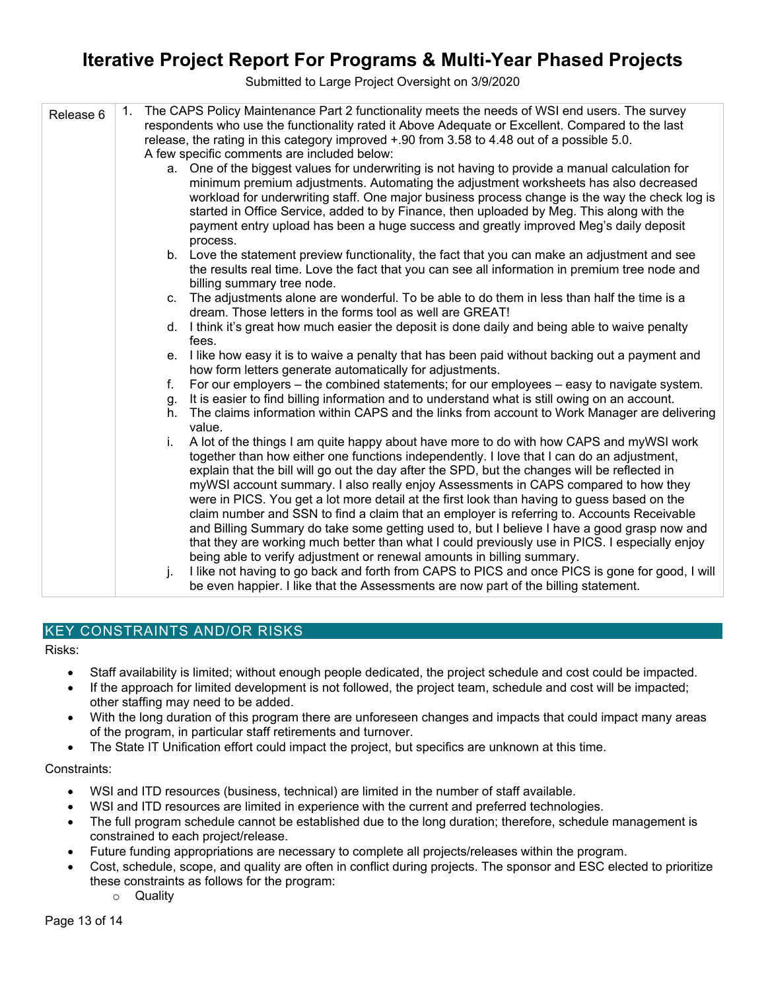Submitted to Large Project Oversight on 3/9/2020

| Release 6 | 1. | The CAPS Policy Maintenance Part 2 functionality meets the needs of WSI end users. The survey<br>respondents who use the functionality rated it Above Adequate or Excellent. Compared to the last<br>release, the rating in this category improved +.90 from 3.58 to 4.48 out of a possible 5.0.<br>A few specific comments are included below: |
|-----------|----|-------------------------------------------------------------------------------------------------------------------------------------------------------------------------------------------------------------------------------------------------------------------------------------------------------------------------------------------------|
|           |    | a. One of the biggest values for underwriting is not having to provide a manual calculation for                                                                                                                                                                                                                                                 |
|           |    | minimum premium adjustments. Automating the adjustment worksheets has also decreased<br>workload for underwriting staff. One major business process change is the way the check log is<br>started in Office Service, added to by Finance, then uploaded by Meg. This along with the                                                             |
|           |    | payment entry upload has been a huge success and greatly improved Meg's daily deposit<br>process.                                                                                                                                                                                                                                               |
|           |    | b. Love the statement preview functionality, the fact that you can make an adjustment and see                                                                                                                                                                                                                                                   |
|           |    | the results real time. Love the fact that you can see all information in premium tree node and<br>billing summary tree node.                                                                                                                                                                                                                    |
|           |    | c. The adjustments alone are wonderful. To be able to do them in less than half the time is a<br>dream. Those letters in the forms tool as well are GREAT!                                                                                                                                                                                      |
|           |    | d. I think it's great how much easier the deposit is done daily and being able to waive penalty<br>fees.                                                                                                                                                                                                                                        |
|           |    | e. I like how easy it is to waive a penalty that has been paid without backing out a payment and<br>how form letters generate automatically for adjustments.                                                                                                                                                                                    |
|           | f. | For our employers – the combined statements; for our employees – easy to navigate system.                                                                                                                                                                                                                                                       |
|           | g. | It is easier to find billing information and to understand what is still owing on an account.                                                                                                                                                                                                                                                   |
|           | h. | The claims information within CAPS and the links from account to Work Manager are delivering<br>value.                                                                                                                                                                                                                                          |
|           | i. | A lot of the things I am quite happy about have more to do with how CAPS and myWSI work<br>together than how either one functions independently. I love that I can do an adjustment,                                                                                                                                                            |
|           |    | explain that the bill will go out the day after the SPD, but the changes will be reflected in<br>myWSI account summary. I also really enjoy Assessments in CAPS compared to how they                                                                                                                                                            |
|           |    | were in PICS. You get a lot more detail at the first look than having to guess based on the<br>claim number and SSN to find a claim that an employer is referring to. Accounts Receivable                                                                                                                                                       |
|           |    | and Billing Summary do take some getting used to, but I believe I have a good grasp now and                                                                                                                                                                                                                                                     |
|           |    | that they are working much better than what I could previously use in PICS. I especially enjoy                                                                                                                                                                                                                                                  |
|           |    | being able to verify adjustment or renewal amounts in billing summary.                                                                                                                                                                                                                                                                          |
|           | j. | I like not having to go back and forth from CAPS to PICS and once PICS is gone for good, I will                                                                                                                                                                                                                                                 |
|           |    | be even happier. I like that the Assessments are now part of the billing statement.                                                                                                                                                                                                                                                             |

### KEY CONSTRAINTS AND/OR RISKS

Risks:

- Staff availability is limited; without enough people dedicated, the project schedule and cost could be impacted.
- If the approach for limited development is not followed, the project team, schedule and cost will be impacted; other staffing may need to be added.
- With the long duration of this program there are unforeseen changes and impacts that could impact many areas of the program, in particular staff retirements and turnover.
- The State IT Unification effort could impact the project, but specifics are unknown at this time.

#### Constraints:

- WSI and ITD resources (business, technical) are limited in the number of staff available.
- WSI and ITD resources are limited in experience with the current and preferred technologies.
- The full program schedule cannot be established due to the long duration; therefore, schedule management is constrained to each project/release.
- Future funding appropriations are necessary to complete all projects/releases within the program.
- Cost, schedule, scope, and quality are often in conflict during projects. The sponsor and ESC elected to prioritize these constraints as follows for the program:
	- o Quality